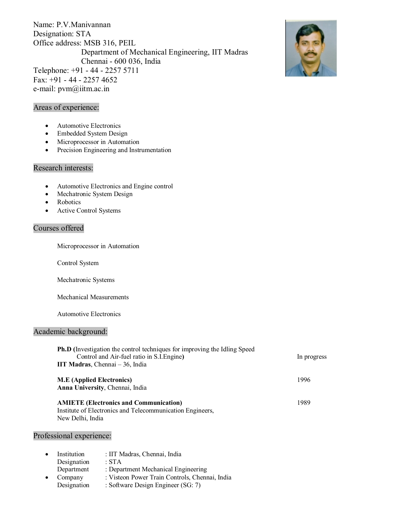Name: P.V.Manivannan Designation: STA Office address: MSB 316, PEIL Department of Mechanical Engineering, IIT Madras Chennai - 600 036, India Telephone: +91 - 44 - 2257 5711 Fax: +91 - 44 - 2257 4652 e-mail: pvm@iitm.ac.in



# Areas of experience:

- Automotive Electronics
- Embedded System Design
- · Microprocessor in Automation
- · Precision Engineering and Instrumentation

## Research interests:

- · Automotive Electronics and Engine control
- · Mechatronic System Design
- Robotics
- Active Control Systems

## Courses offered

Microprocessor in Automation

Control System

Mechatronic Systems

Mechanical Measurements

Automotive Electronics

#### Academic background:

| <b>Ph.D</b> (Investigation the control techniques for improving the Idling Speed |             |  |
|----------------------------------------------------------------------------------|-------------|--|
| Control and Air-fuel ratio in S.I. Engine)                                       | In progress |  |
| IIT Madras, Chennai - 36, India                                                  |             |  |
| <b>M.E</b> (Applied Electronics)                                                 | 1996        |  |
| Anna University, Chennai, India                                                  |             |  |
| <b>AMIETE</b> (Electronics and Communication)                                    | 1989        |  |
| Institute of Electronics and Telecommunication Engineers,                        |             |  |
| New Delhi, India                                                                 |             |  |
|                                                                                  |             |  |

## Professional experience:

| Institution | : IIT Madras, Chennai, India                   |
|-------------|------------------------------------------------|
| Designation | $\cdot$ STA                                    |
| Department  | : Department Mechanical Engineering            |
| Company     | : Visteon Power Train Controls, Chennai, India |
| Designation | : Software Design Engineer (SG: 7)             |